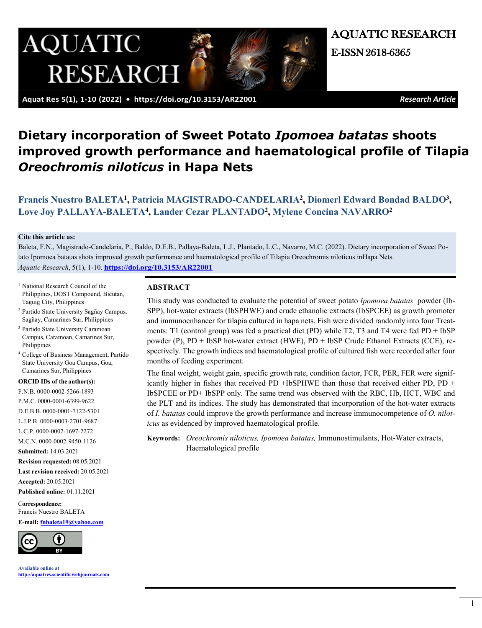

AQUATIC RESEARCH E-ISSN 2618-6365

 **Aquat Res 5(1), 1-10 (2022) •<https://doi.org/10.3153/AR22001>** *Research Article*

# **Dietary incorporation of Sweet Potato** *Ipomoea batatas* **shoots** **improved growth performance and haematological profile of Tilapia** *Oreochromis niloticus* **in Hapa Nets**

# **[Francis Nuestro BALETA](https://orcid.org/0000-0002-5266-1893)<sup>1</sup> , [Patricia MAGISTRADO-CANDELARIA](https://orcid.org/0000-0001-6399-9622)<sup>2</sup> , [Diomerl Edward Bondad BALDO](https://orcid.org/0000-0001-7122-5301)<sup>3</sup> , [Love Joy PALLAYA-BALETA](https://orcid.org/0000-0003-2701-9687)<sup>4</sup> , [Lander Cezar PLANTADO](https://orcid.org/0000-0002-1697-2272)<sup>2</sup> , [Mylene Concina NAVARRO](https://orcid.org/0000-0002-9450-1126)<sup>2</sup>**

#### **Cite this article as:**

Baleta, F.N., Magistrado-Candelaria, P., Baldo, D.E.B., Pallaya-Baleta, L.J., Plantado, L.C., Navarro, M.C. (2022). Dietary incorporation of Sweet Potato Ipomoea batatas shots improved growth performance and haematological profile of Tilapia Oreochromis niloticus inHapa Nets. *Aquatic Research*, 5(1), 1-10. **<https://doi.org/10.3153/AR22001>**

- <sup>1</sup> National Research Council of the Philippines, DOST Compound, Bicutan, Taguig City, Philippines
- 2 Partido State University Sagñay Campus, Sagñay, Camarines Sur, Philippines
- 3 Partido State University Caramoan Campus, Caramoan, Camarines Sur, Philippines
- 4 College of Business Management, Partido State University Goa Campus, Goa, Camarines Sur, Philippines

#### **ORCID IDs of the author(s):**

F.N.B. 0000-0002-5266-1893 P.M.C. 0000-0001-6399-9622 D.E.B.B. 0000-0001-7122-5301 L.J.P.B. 0000-0003-2701-9687 L.C.P. 0000-0002-1697-2272 M.C.N. 0000-0002-9450-1126 **Submitted:** 14.03.2021 **Revision requested:** 08.05.2021 **Last revision received:** 20.05.2021 **Accepted:** 20.05.2021 **Published online:** 01.11.2021 C**orrespondence:**

Francis Nuestro BALETA **E-mail: [fnbaleta19@yahoo.com](mailto:fnbaleta19@yahoo.com)**



**Available online at [http://aquatres.scientificwebjournals.com](http://aquatres.scientificwebjournals.com/)**

### **ABSTRACT**

This study was conducted to evaluate the potential of sweet potato *Ipomoea batatas* powder (Ib-SPP), hot-water extracts (IbSPHWE) and crude ethanolic extracts (IbSPCEE) as growth promoter and immunoenhancer for tilapia cultured in hapa nets. Fish were divided randomly into four Treatments: T1 (control group) was fed a practical diet (PD) while T2, T3 and T4 were fed PD + IbSP powder (P), PD + IbSP hot-water extract (HWE), PD + IbSP Crude Ethanol Extracts (CCE), respectively. The growth indices and haematological profile of cultured fish were recorded after four months of feeding experiment.

The final weight, weight gain, specific growth rate, condition factor, FCR, PER, FER were significantly higher in fishes that received PD +IbSPHWE than those that received either PD, PD + IbSPCEE or PD+ IbSPP only. The same trend was observed with the RBC, Hb, HCT, WBC and the PLT and its indices. The study has demonstrated that incorporation of the hot-water extracts of *I. batatas* could improve the growth performance and increase immunocompetence of *O. niloticus* as evidenced by improved haematological profile.

**Keywords:** *Oreochromis niloticus, Ipomoea batatas,* Immunostimulants, Hot-Water extracts, Haematological profile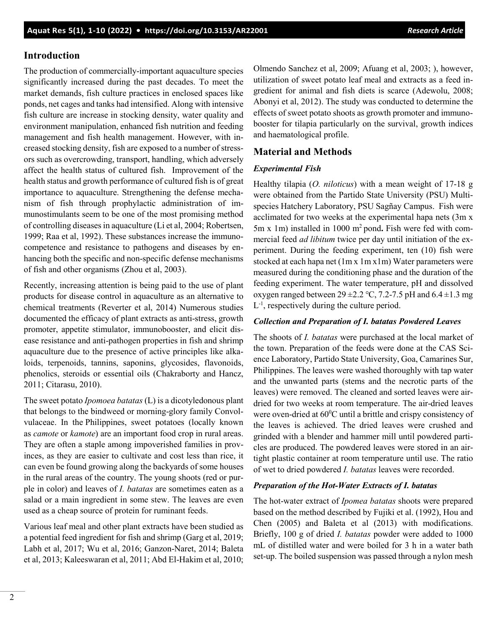### **Introduction**

The production of commercially-important aquaculture species significantly increased during the past decades. To meet the market demands, fish culture practices in enclosed spaces like ponds, net cages and tanks had intensified. Along with intensive fish culture are increase in stocking density, water quality and environment manipulation, enhanced fish nutrition and feeding management and fish health management. However, with increased stocking density, fish are exposed to a number of stressors such as overcrowding, transport, handling, which adversely affect the health status of cultured fish. Improvement of the health status and growth performance of cultured fish is of great importance to aquaculture. Strengthening the defense mechanism of fish through prophylactic administration of immunostimulants seem to be one of the most promising method of controlling diseases in aquaculture (Li et al, 2004; Robertsen, 1999; Raa et al, 1992). These substances increase the immunocompetence and resistance to pathogens and diseases by enhancing both the specific and non-specific defense mechanisms of fish and other organisms (Zhou et al, 2003).

Recently, increasing attention is being paid to the use of plant products for disease control in aquaculture as an alternative to chemical treatments (Reverter et al, 2014) Numerous studies documented the efficacy of plant extracts as anti-stress, growth promoter, appetite stimulator, immunobooster, and elicit disease resistance and anti-pathogen properties in fish and shrimp aquaculture due to the presence of active principles like alkaloids, terpenoids, tannins, saponins, glycosides, flavonoids, phenolics, steroids or essential oils (Chakraborty and Hancz, 2011; Citarasu, 2010).

The sweet potato *Ipomoea batatas* (L) is a dicotyledonous plant that belongs to the bindweed or morning-glory family Convolvulaceae. In the Philippines, sweet potatoes (locally known as *camote* or *kamote*) are an important food crop in rural areas. They are often a staple among impoverished families in provinces, as they are easier to cultivate and cost less than rice, it can even be found growing along the backyards of some houses in the rural areas of the country. The young shoots (red or purple in color) and leaves of *I. batatas* are sometimes eaten as a salad or a main ingredient in some stew. The leaves are even used as a cheap source of protein for ruminant feeds.

Various leaf meal and other plant extracts have been studied as a potential feed ingredient for fish and shrimp (Garg et al, 2019; Labh et al, 2017; Wu et al, 2016; Ganzon-Naret, 2014; Baleta et al, 2013; Kaleeswaran et al, 2011; Abd El-Hakim et al, 2010;

Olmendo Sanchez et al, 2009; Afuang et al, 2003; ), however, utilization of sweet potato leaf meal and extracts as a feed ingredient for animal and fish diets is scarce (Adewolu, 2008; Abonyi et al, 2012). The study was conducted to determine the effects of sweet potato shoots as growth promoter and immunobooster for tilapia particularly on the survival, growth indices and haematological profile.

# **Material and Methods**

### *Experimental Fish*

Healthy tilapia (*O. niloticus*) with a mean weight of 17-18 g were obtained from the Partido State University (PSU) Multispecies Hatchery Laboratory, PSU Sagñay Campus. Fish were acclimated for two weeks at the experimental hapa nets (3m x 5m x 1m) installed in 1000 m2 pond**.** Fish were fed with commercial feed *ad libitum* twice per day until initiation of the experiment. During the feeding experiment, ten (10) fish were stocked at each hapa net (1m x 1m x1m) Water parameters were measured during the conditioning phase and the duration of the feeding experiment. The water temperature, pH and dissolved oxygen ranged between  $29 \pm 2.2$  °C, 7.2-7.5 pH and  $6.4 \pm 1.3$  mg L-1 , respectively during the culture period.

### *Collection and Preparation of I. batatas Powdered Leaves*

The shoots of *I. batatas* were purchased at the local market of the town. Preparation of the feeds were done at the CAS Science Laboratory, Partido State University, Goa, Camarines Sur, Philippines. The leaves were washed thoroughly with tap water and the unwanted parts (stems and the necrotic parts of the leaves) were removed. The cleaned and sorted leaves were airdried for two weeks at room temperature. The air-dried leaves were oven-dried at  $60^{\circ}$ C until a brittle and crispy consistency of the leaves is achieved. The dried leaves were crushed and grinded with a blender and hammer mill until powdered particles are produced. The powdered leaves were stored in an airtight plastic container at room temperature until use. The ratio of wet to dried powdered *I. batatas* leaves were recorded.

### *Preparation of the Hot-Water Extracts of I. batatas*

The hot-water extract of *Ipomea batatas* shoots were prepared based on the method described by Fujiki et al. (1992), Hou and Chen (2005) and Baleta et al (2013) with modifications. Briefly, 100 g of dried *I. batatas* powder were added to 1000 mL of distilled water and were boiled for 3 h in a water bath set-up. The boiled suspension was passed through a nylon mesh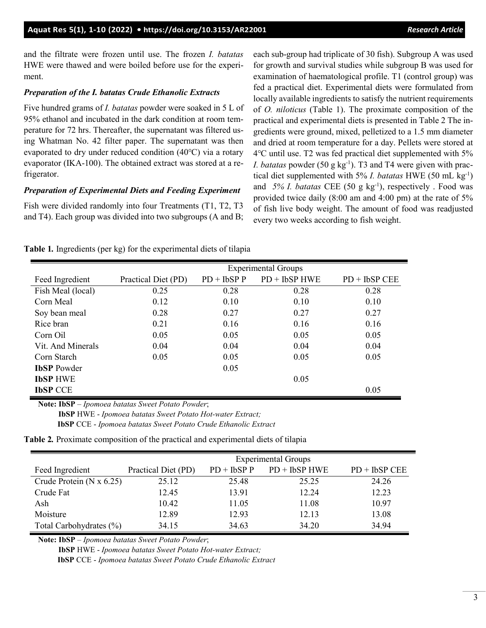and the filtrate were frozen until use. The frozen *I. batatas* HWE were thawed and were boiled before use for the experiment.

#### *Preparation of the I. batatas Crude Ethanolic Extracts*

Five hundred grams of *I. batatas* powder were soaked in 5 L of 95% ethanol and incubated in the dark condition at room temperature for 72 hrs. Thereafter, the supernatant was filtered using Whatman No. 42 filter paper. The supernatant was then evaporated to dry under reduced condition (40℃) via a rotary evaporator (IKA-100). The obtained extract was stored at a refrigerator.

#### *Preparation of Experimental Diets and Feeding Experiment*

Fish were divided randomly into four Treatments (T1, T2, T3 and T4). Each group was divided into two subgroups (A and B; each sub-group had triplicate of 30 fish). Subgroup A was used for growth and survival studies while subgroup B was used for examination of haematological profile. T1 (control group) was fed a practical diet. Experimental diets were formulated from locally available ingredients to satisfy the nutrient requirements of *O. niloticus* (Table 1). The proximate composition of the practical and experimental diets is presented in Table 2 The ingredients were ground, mixed, pelletized to a 1.5 mm diameter and dried at room temperature for a day. Pellets were stored at 4℃ until use. T2 was fed practical diet supplemented with 5% *I. batatas* powder (50 g kg<sup>-1</sup>). T3 and T4 were given with practical diet supplemented with 5% *I. batatas* HWE (50 mL kg-1 ) and 5% I. batatas CEE (50 g kg<sup>-1</sup>), respectively . Food was provided twice daily (8:00 am and 4:00 pm) at the rate of 5% of fish live body weight. The amount of food was readjusted every two weeks according to fish weight.

|  |  |  |  | Table 1. Ingredients (per kg) for the experimental diets of tilapia |  |  |
|--|--|--|--|---------------------------------------------------------------------|--|--|
|--|--|--|--|---------------------------------------------------------------------|--|--|

|                    | <b>Experimental Groups</b> |              |                 |                 |  |  |  |
|--------------------|----------------------------|--------------|-----------------|-----------------|--|--|--|
| Feed Ingredient    | Practical Diet (PD)        | $PD + IbSPP$ | $PD + IbSP HWE$ | $PD + IbSP CEE$ |  |  |  |
| Fish Meal (local)  | 0.25                       | 0.28         | 0.28            | 0.28            |  |  |  |
| Corn Meal          | 0.12                       | 0.10         | 0.10            | 0.10            |  |  |  |
| Soy bean meal      | 0.28                       | 0.27         | 0.27            | 0.27            |  |  |  |
| Rice bran          | 0.21                       | 0.16         | 0.16            | 0.16            |  |  |  |
| Corn Oil           | 0.05                       | 0.05         | 0.05            | 0.05            |  |  |  |
| Vit. And Minerals  | 0.04                       | 0.04         | 0.04            | 0.04            |  |  |  |
| Corn Starch        | 0.05                       | 0.05         | 0.05            | 0.05            |  |  |  |
| <b>IbSP</b> Powder |                            | 0.05         |                 |                 |  |  |  |
| <b>IbSP HWE</b>    |                            |              | 0.05            |                 |  |  |  |
| <b>IbSP CCE</b>    |                            |              |                 | 0.05            |  |  |  |

**Note: IbSP** – *Ipomoea batatas Sweet Potato Powder*;

 **IbSP** HWE - *Ipomoea batatas Sweet Potato Hot-water Extract;* 

 **IbSP** CCE - *Ipomoea batatas Sweet Potato Crude Ethanolic Extract*

| <b>Table 2.</b> Proximate composition of the practical and experimental diets of tilapia |  |  |  |  |  |
|------------------------------------------------------------------------------------------|--|--|--|--|--|
|------------------------------------------------------------------------------------------|--|--|--|--|--|

|                                   | <b>Experimental Groups</b> |              |                 |                 |  |  |  |
|-----------------------------------|----------------------------|--------------|-----------------|-----------------|--|--|--|
| Feed Ingredient                   | Practical Diet (PD)        | $PD + IbSPP$ | $PD + IbSP HWE$ | $PD + IbSP CEE$ |  |  |  |
| Crude Protein ( $N \times 6.25$ ) | 25.12                      | 25.48        | 25.25           | 24.26           |  |  |  |
| Crude Fat                         | 12.45                      | 13.91        | 12.24           | 12.23           |  |  |  |
| Ash                               | 10.42                      | 11.05        | 11.08           | 10.97           |  |  |  |
| Moisture                          | 12.89                      | 12.93        | 12.13           | 13.08           |  |  |  |
| Total Carbohydrates (%)           | 34.15                      | 34.63        | 34.20           | 34.94           |  |  |  |

**Note: IbSP** – *Ipomoea batatas Sweet Potato Powder*;

 **IbSP** HWE - *Ipomoea batatas Sweet Potato Hot-water Extract;* 

 **IbSP** CCE - *Ipomoea batatas Sweet Potato Crude Ethanolic Extract*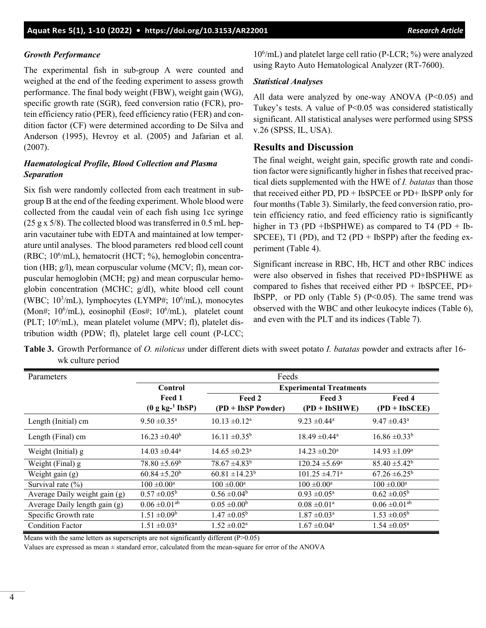# *Growth Performance*

The experimental fish in sub-group A were counted and weighed at the end of the feeding experiment to assess growth performance. The final body weight (FBW), weight gain (WG), specific growth rate (SGR), feed conversion ratio (FCR), protein efficiency ratio (PER), feed efficiency ratio (FER) and condition factor (CF) were determined according to De Silva and Anderson (1995), Hevroy et al. (2005) and Jafarian et al. (2007).

# *Haematological Profile, Blood Collection and Plasma Separation*

Six fish were randomly collected from each treatment in subgroup B at the end of the feeding experiment. Whole blood were collected from the caudal vein of each fish using 1cc syringe (25 g x  $5/8$ ). The collected blood was transferred in 0.5 mL heparin vacutainer tube with EDTA and maintained at low temperature until analyses. The blood parameters red blood cell count (RBC; 10<sup>6</sup>/mL), hematocrit (HCT; %), hemoglobin concentration (HB; g/l), mean corpuscular volume (MCV; fl), mean corpuscular hemoglobin (MCH; pg) and mean corpuscular hemoglobin concentration (MCHC; g/dl), white blood cell count (WBC; 10<sup>3</sup>/mL), lymphocytes (LYMP#; 10<sup>6</sup>/mL), monocytes (Mon#; 10<sup>6</sup>/mL), eosinophil (Eos#; 10<sup>6</sup>/mL), platelet count (PLT; 10<sup>6</sup>/mL), mean platelet volume (MPV; fl), platelet distribution width (PDW; fl), platelet large cell count (P-LCC;

106 /mL) and platelet large cell ratio (P-LCR; %) were analyzed using Rayto Auto Hematological Analyzer (RT-7600).

### *Statistical Analyses*

All data were analyzed by one-way ANOVA  $(P<0.05)$  and Tukey's tests. A value of P<0.05 was considered statistically significant. All statistical analyses were performed using SPSS v.26 (SPSS, IL, USA).

## **Results and Discussion**

The final weight, weight gain, specific growth rate and condition factor were significantly higher in fishes that received practical diets supplemented with the HWE of *I. batatas* than those that received either PD, PD + IbSPCEE or PD+ IbSPP only for four months (Table 3). Similarly, the feed conversion ratio, protein efficiency ratio, and feed efficiency ratio is significantly higher in T3 (PD +IbSPHWE) as compared to T4 (PD + Ib-SPCEE), T1 (PD), and T2 (PD + IbSPP) after the feeding experiment (Table 4).

Significant increase in RBC, Hb, HCT and other RBC indices were also observed in fishes that received PD+IbSPHWE as compared to fishes that received either PD + IbSPCEE, PD+ IbSPP, or PD only (Table 5)  $(P<0.05)$ . The same trend was observed with the WBC and other leukocyte indices (Table 6), and even with the PLT and its indices (Table 7).

**Table 3.** Growth Performance of *O. niloticus* under different diets with sweet potato *I. batatas* powder and extracts after 16 wk culture period

| Parameters                    | Feeds                                |                               |                                |                            |  |  |
|-------------------------------|--------------------------------------|-------------------------------|--------------------------------|----------------------------|--|--|
|                               | Control                              |                               | <b>Experimental Treatments</b> |                            |  |  |
|                               | Feed 1                               | Feed 2                        | Feed 3                         | Feed 4                     |  |  |
|                               | $(0 \text{ g kg}^{-1} \text{ IbSP})$ | (PD + IbSP Powder)            | $(PD + IbSHWE)$                | $(PD + IbSCEE)$            |  |  |
| Length (Initial) cm           | $9.50 \pm 0.35^{\text{a}}$           | $10.13 \pm 0.12^a$            | $9.23 \pm 0.44^{\text{a}}$     | $9.47 \pm 0.43^{\circ}$    |  |  |
| Length (Final) cm             | $16.23 \pm 0.40^b$                   | $16.11 \pm 0.35^b$            | $18.49 \pm 0.44$ <sup>a</sup>  | $16.86 \pm 0.33^b$         |  |  |
| Weight (Initial) g            | $14.03 \pm 0.44^{\text{a}}$          | $14.65 \pm 0.23$ <sup>a</sup> | $14.23 \pm 0.20^{\circ}$       | $14.93 \pm 1.09^{\circ}$   |  |  |
| Weight (Final) g              | $78.80 \pm 5.69^{\rm b}$             | $78.67 \pm 4.83^b$            | $120.24 \pm 5.69^{\circ}$      | $85.40 \pm 5.42^b$         |  |  |
| Weight gain $(g)$             | $60.84 \pm 5.20^b$                   | $60.81 \pm 14.23^b$           | $101.25 \pm 4.71$ <sup>a</sup> | $67.26 \pm 6.25^b$         |  |  |
| Survival rate $(\% )$         | $100 \pm 0.00^{\text{a}}$            | $100 \pm 0.00^a$              | $100 \pm 0.00^{\rm a}$         | $100 \pm 0.00^a$           |  |  |
| Average Daily weight gain (g) | $0.57 \pm 0.05^{\circ}$              | $0.56 \pm 0.04^b$             | $0.93 \pm 0.05^{\text{a}}$     | $0.62 \pm 0.05^{\circ}$    |  |  |
| Average Daily length gain (g) | $0.06 \pm 0.01$ <sup>ab</sup>        | $0.05 \pm 0.00^b$             | $0.08 \pm 0.01^{\text{a}}$     | $0.06 \pm 0.01^{ab}$       |  |  |
| Specific Growth rate          | $1.51 \pm 0.09^b$                    | $1.47 \pm 0.05^{\rm b}$       | $1.87 \pm 0.03^{\text{a}}$     | $1.53 \pm 0.05^b$          |  |  |
| <b>Condition Factor</b>       | $1.51 \pm 0.03^{\text{a}}$           | $1.52 \pm 0.02^a$             | $1.67 \pm 0.04^{\text{a}}$     | $1.54 \pm 0.05^{\text{a}}$ |  |  |

Means with the same letters as superscripts are not significantly different (P>0.05)

Values are expressed as mean ± standard error, calculated from the mean-square for error of the ANOVA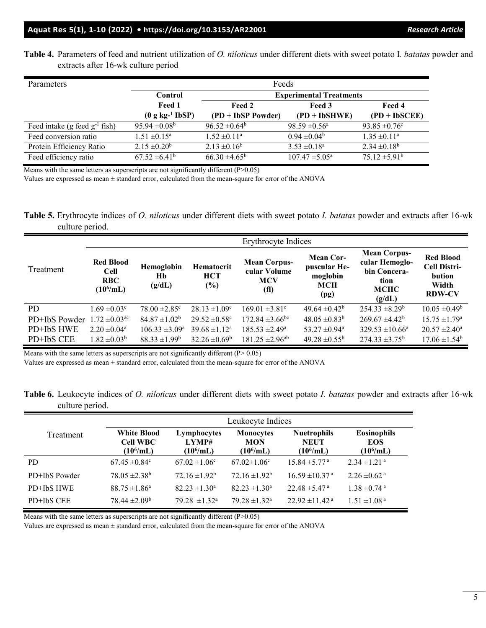**Table 4.** Parameters of feed and nutrient utilization of *O. niloticus* under different diets with sweet potato I*. batatas* powder and extracts after 16-wk culture period

| Parameters                         |                                      | Feeds                          |                               |                          |  |  |
|------------------------------------|--------------------------------------|--------------------------------|-------------------------------|--------------------------|--|--|
|                                    | Control                              | <b>Experimental Treatments</b> |                               |                          |  |  |
|                                    | Feed 1                               | Feed 2                         | Feed 3                        | Feed 4                   |  |  |
|                                    | $(0 \text{ g kg}^{-1} \text{ IbSP})$ | (PD + IbSP Powder)             | $(PD + IbSHWE)$               | $(PD + IbSCEE)$          |  |  |
| Feed intake (g feed $g^{-1}$ fish) | $95.94 \pm 0.08^{\rm b}$             | $96.52 \pm 0.64^b$             | $98.59 \pm 0.56^{\mathrm{a}}$ | 93.85 $\pm 0.76$ °       |  |  |
| Feed conversion ratio              | $1.51 \pm 0.15^{\text{a}}$           | $1.52 \pm 0.11^a$              | $0.94 \pm 0.04^b$             | $1.35 \pm 0.11^a$        |  |  |
| Protein Efficiency Ratio           | $2.15 \pm 0.20^b$                    | $2.13 \pm 0.16^b$              | $3.53 \pm 0.18^a$             | $2.34 \pm 0.18^b$        |  |  |
| Feed efficiency ratio              | $67.52 \pm 6.41^b$                   | $66.30 \pm 4.65^{\rm b}$       | $107.47 \pm 5.05^{\circ}$     | $75.12 \pm 5.91^{\rm b}$ |  |  |

Means with the same letters as superscripts are not significantly different (P>0.05)

Values are expressed as mean ± standard error, calculated from the mean-square for error of the ANOVA

**Table 5.** Erythrocyte indices of *O. niloticus* under different diets with sweet potato *I. batatas* powder and extracts after 16-wk culture period.

|               |                                                               |                                   |                                    | Erythrocyte Indices                                                    |                                                                    |                                                                                        |                                                                             |
|---------------|---------------------------------------------------------------|-----------------------------------|------------------------------------|------------------------------------------------------------------------|--------------------------------------------------------------------|----------------------------------------------------------------------------------------|-----------------------------------------------------------------------------|
| Treatment     | <b>Red Blood</b><br><b>Cell</b><br><b>RBC</b><br>$(10^6$ /mL) | <b>Hemoglobin</b><br>Hb<br>(g/dL) | Hematocrit<br><b>HCT</b><br>$(\%)$ | <b>Mean Corpus-</b><br>cular Volume<br><b>MCV</b><br>(f <sub>l</sub> ) | <b>Mean Cor-</b><br>puscular He-<br>moglobin<br><b>MCH</b><br>(pg) | <b>Mean Corpus-</b><br>cular Hemoglo-<br>bin Concera-<br>tion<br><b>MCHC</b><br>(g/dL) | <b>Red Blood</b><br><b>Cell Distri-</b><br>bution<br>Width<br><b>RDW-CV</b> |
| <b>PD</b>     | $1.69 \pm 0.03$ <sup>c</sup>                                  | $78.00 \pm 2.85$ °                | $28.13 \pm 1.09^{\circ}$           | $169.01 \pm 3.81$ °                                                    | 49.64 $\pm$ 0.42 <sup>b</sup>                                      | $254.33 \pm 8.29^b$                                                                    | $10.05 \pm 0.49^{\rm b}$                                                    |
| PD+IbS Powder | $1.72 \pm 0.03$ <sup>ac</sup>                                 | $84.87 \pm 1.02^b$                | $29.52 \pm 0.58$ <sup>c</sup>      | $172.84 \pm 3.66$ bc                                                   | $48.05 \pm 0.83^b$                                                 | $269.67 \pm 4.42^b$                                                                    | $15.75 \pm 1.79^{\rm a}$                                                    |
| PD+IbS HWE    | $2.20 \pm 0.04^{\text{a}}$                                    | $106.33 \pm 3.09^{\circ}$         | $39.68 \pm 1.12^a$                 | $185.53 \pm 2.49^{\circ}$                                              | 53.27 $\pm$ 0.94 <sup>a</sup>                                      | $329.53 \pm 10.66^a$                                                                   | $20.57 \pm 2.40^{\circ}$                                                    |
| PD+IbS CEE    | $1.82 \pm 0.03^b$                                             | $88.33 \pm 1.99^b$                | $32.26 \pm 0.69^b$                 | $181.25 \pm 2.96^{ab}$                                                 | $49.28 \pm 0.55^{\rm b}$                                           | $274.33 \pm 3.75^{\rm b}$                                                              | $17.06 \pm 1.54^b$                                                          |

Means with the same letters as superscripts are not significantly different  $(P > 0.05)$ 

Values are expressed as mean ± standard error, calculated from the mean-square for error of the ANOVA

**Table 6.** Leukocyte indices of *O. niloticus* under different diets with sweet potato *I. batatas* powder and extracts after 16-wk culture period.

|               | Leukocyte Indices                                     |                                      |                                                |                                                   |                                                  |  |  |
|---------------|-------------------------------------------------------|--------------------------------------|------------------------------------------------|---------------------------------------------------|--------------------------------------------------|--|--|
| Treatment     | <b>White Blood</b><br><b>Cell WBC</b><br>$(10^6$ /mL) | Lymphocytes<br>LYMP#<br>$(10^6$ /mL) | <b>Monocytes</b><br><b>MON</b><br>$(10^6$ /mL) | <b>Nuetrophils</b><br><b>NEUT</b><br>$(10^6$ /mL) | <b>Eosinophils</b><br><b>EOS</b><br>$(10^6$ /mL) |  |  |
| PD            | $67.45 \pm 0.84$ °                                    | $67.02 \pm 1.06^{\circ}$             | $67.02 \pm 1.06$ °                             | $15.84 \pm 5.77$ <sup>a</sup>                     | $2.34 \pm 1.21$ <sup>a</sup>                     |  |  |
| PD+IbS Powder | $78.05 \pm 2.38^{\rm b}$                              | $72.16 \pm 1.92^b$                   | $72.16 \pm 1.92^b$                             | $16.59 \pm 10.37$ <sup>a</sup>                    | $2.26 \pm 0.62$ <sup>a</sup>                     |  |  |
| PD+IbS HWE    | $88.75 \pm 1.86^a$                                    | $82.23 \pm 1.30^{\circ}$             | $82.23 \pm 1.30^{\circ}$                       | $22.48 \pm 5.47$ <sup>a</sup>                     | $1.38 \pm 0.74$ <sup>a</sup>                     |  |  |
| PD+IbS CEE    | $78.44 \pm 2.09^b$                                    | $79.28 \pm 1.32^{\circ}$             | $79.28 \pm 1.32^{\text{a}}$                    | $22.92 \pm 11.42$ <sup>a</sup>                    | $1.51 \pm 1.08$ <sup>a</sup>                     |  |  |

Means with the same letters as superscripts are not significantly different (P>0.05)

Values are expressed as mean ± standard error, calculated from the mean-square for error of the ANOVA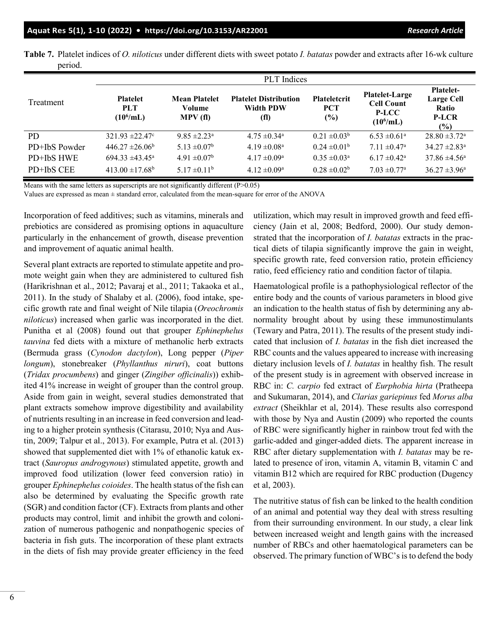|               | PLT Indices                                   |                                          |                                                          |                                          |                                                                            |                                                                          |  |  |
|---------------|-----------------------------------------------|------------------------------------------|----------------------------------------------------------|------------------------------------------|----------------------------------------------------------------------------|--------------------------------------------------------------------------|--|--|
| Treatment     | <b>Platelet</b><br><b>PLT</b><br>$(10^6$ /mL) | <b>Mean Platelet</b><br>Volume<br>MPV(f) | <b>Platelet Distribution</b><br><b>Width PDW</b><br>(fl) | <b>Plateletcrit</b><br><b>PCT</b><br>(%) | <b>Platelet-Large</b><br><b>Cell Count</b><br><b>P-LCC</b><br>$(10^6$ /mL) | <b>Platelet-</b><br><b>Large Cell</b><br>Ratio<br><b>P-LCR</b><br>$(\%)$ |  |  |
| <b>PD</b>     | $321.93 \pm 22.47$ °                          | $9.85 \pm 2.23$ <sup>a</sup>             | $4.75 \pm 0.34$ <sup>a</sup>                             | $0.21 \pm 0.03^b$                        | $6.53 \pm 0.61^{\circ}$                                                    | $28.80 \pm 3.72$ <sup>a</sup>                                            |  |  |
| PD+IbS Powder | $446.27 \pm 26.06^b$                          | $5.13 \pm 0.07^b$                        | $4.19 \pm 0.08^a$                                        | $0.24 \pm 0.01^{\rm b}$                  | $7.11 \pm 0.47$ <sup>a</sup>                                               | $34.27 \pm 2.83^{\circ}$                                                 |  |  |
| PD+IbS HWE    | $694.33 \pm 43.45^{\circ}$                    | $4.91 \pm 0.07^{\rm b}$                  | $4.17 \pm 0.09^{\text{a}}$                               | $0.35 \pm 0.03^{\text{a}}$               | $6.17 \pm 0.42^{\text{a}}$                                                 | $37.86 \pm 4.56^{\circ}$                                                 |  |  |
| PD+IbS CEE    | $413.00 \pm 17.68^{\rm b}$                    | $5.17 \pm 0.11^b$                        | $4.12 \pm 0.09^{\text{a}}$                               | $0.28 \pm 0.02^b$                        | $7.03 \pm 0.77$ <sup>a</sup>                                               | $36.27 \pm 3.96^{\circ}$                                                 |  |  |

**Table 7.** Platelet indices of *O. niloticus* under different diets with sweet potato *I. batatas* powder and extracts after 16-wk culture period.

Means with the same letters as superscripts are not significantly different  $(P>0.05)$ 

Values are expressed as mean ± standard error, calculated from the mean-square for error of the ANOVA

Incorporation of feed additives; such as vitamins, minerals and prebiotics are considered as promising options in aquaculture particularly in the enhancement of growth, disease prevention and improvement of aquatic animal health.

Several plant extracts are reported to stimulate appetite and promote weight gain when they are administered to cultured fish (Harikrishnan et al., 2012; Pavaraj et al., 2011; Takaoka et al., 2011). In the study of Shalaby et al. (2006), food intake, specific growth rate and final weight of Nile tilapia (*Oreochromis niloticus*) increased when garlic was incorporated in the diet. Punitha et al (2008) found out that grouper *Ephinephelus tauvina* fed diets with a mixture of methanolic herb extracts (Bermuda grass (*Cynodon dactylon*), Long pepper (*Piper longum*), stonebreaker (*Phyllanthus niruri*), coat buttons (*Tridax procumbens*) and ginger (*Zingiber officinalis*)) exhibited 41% increase in weight of grouper than the control group. Aside from gain in weight, several studies demonstrated that plant extracts somehow improve digestibility and availability of nutrients resulting in an increase in feed conversion and leading to a higher protein synthesis (Citarasu, 2010; Nya and Austin, 2009; Talpur et al., 2013). For example, Putra et al. (2013) showed that supplemented diet with 1% of ethanolic katuk extract (*Sauropus androgynous*) stimulated appetite, growth and improved food utilization (lower feed conversion ratio) in grouper *Ephinephelus coioides*. The health status of the fish can also be determined by evaluating the Specific growth rate (SGR) and condition factor (CF). Extracts from plants and other products may control, limit and inhibit the growth and colonization of numerous pathogenic and nonpathogenic species of bacteria in fish guts. The incorporation of these plant extracts in the diets of fish may provide greater efficiency in the feed

utilization, which may result in improved growth and feed efficiency (Jain et al, 2008; Bedford, 2000). Our study demonstrated that the incorporation of *I. batatas* extracts in the practical diets of tilapia significantly improve the gain in weight, specific growth rate, feed conversion ratio, protein efficiency ratio, feed efficiency ratio and condition factor of tilapia.

Haematological profile is a pathophysiological reflector of the entire body and the counts of various parameters in blood give an indication to the health status of fish by determining any abnormality brought about by using these immunostimulants (Tewary and Patra, 2011). The results of the present study indicated that inclusion of *I. batatas* in the fish diet increased the RBC counts and the values appeared to increase with increasing dietary inclusion levels of *I. batatas* in healthy fish. The result of the present study is in agreement with observed increase in RBC in: *C. carpio* fed extract of *Eurphobia hirta* (Pratheepa and Sukumaran, 2014), and *Clarias gariepinus* fed *Morus alba extract* (Sheikhlar et al, 2014). These results also correspond with those by Nya and Austin (2009) who reported the counts of RBC were significantly higher in rainbow trout fed with the garlic-added and ginger-added diets. The apparent increase in RBC after dietary supplementation with *I. batatas* may be related to presence of iron, vitamin A, vitamin B, vitamin C and vitamin B12 which are required for RBC production (Dugency et al, 2003).

The nutritive status of fish can be linked to the health condition of an animal and potential way they deal with stress resulting from their surrounding environment. In our study, a clear link between increased weight and length gains with the increased number of RBCs and other haematological parameters can be observed. The primary function of WBC's is to defend the body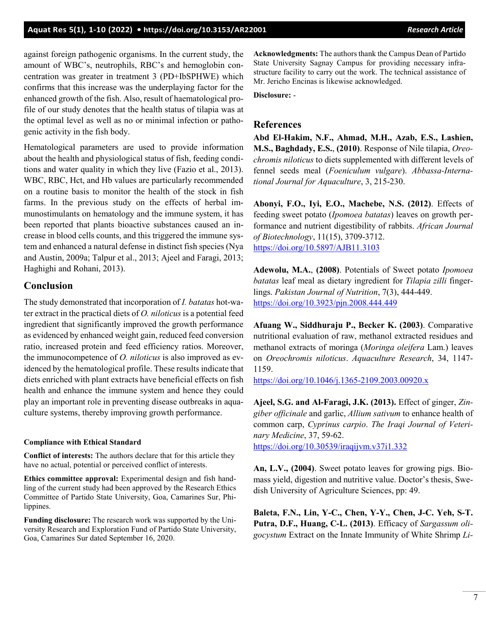against foreign pathogenic organisms. In the current study, the amount of WBC's, neutrophils, RBC's and hemoglobin concentration was greater in treatment 3 (PD+IbSPHWE) which confirms that this increase was the underplaying factor for the enhanced growth of the fish. Also, result of haematological profile of our study denotes that the health status of tilapia was at the optimal level as well as no or minimal infection or pathogenic activity in the fish body.

Hematological parameters are used to provide information about the health and physiological status of fish, feeding conditions and water quality in which they live (Fazio et al., 2013). WBC, RBC, Hct, and Hb values are particularly recommended on a routine basis to monitor the health of the stock in fish farms. In the previous study on the effects of herbal immunostimulants on hematology and the immune system, it has been reported that plants bioactive substances caused an increase in blood cells counts, and this triggered the immune system and enhanced a natural defense in distinct fish species (Nya and Austin, 2009a; Talpur et al., 2013; Ajeel and Faragi, 2013; Haghighi and Rohani, 2013).

### **Conclusion**

The study demonstrated that incorporation of *I. batatas* hot-water extract in the practical diets of *O. niloticus* is a potential feed ingredient that significantly improved the growth performance as evidenced by enhanced weight gain, reduced feed conversion ratio, increased protein and feed efficiency ratios. Moreover, the immunocompetence of *O. niloticus* is also improved as evidenced by the hematological profile. These results indicate that diets enriched with plant extracts have beneficial effects on fish health and enhance the immune system and hence they could play an important role in preventing disease outbreaks in aquaculture systems, thereby improving growth performance.

#### **Compliance with Ethical Standard**

**Conflict of interests:** The authors declare that for this article they have no actual, potential or perceived conflict of interests.

**Ethics committee approval:** Experimental design and fish handling of the current study had been approved by the Research Ethics Committee of Partido State University, Goa, Camarines Sur, Philippines.

**Funding disclosure:** The research work was supported by the University Research and Exploration Fund of Partido State University, Goa, Camarines Sur dated September 16, 2020.

**Acknowledgments:** The authors thank the Campus Dean of Partido State University Sagnay Campus for providing necessary infrastructure facility to carry out the work. The technical assistance of Mr. Jericho Encinas is likewise acknowledged.

**Disclosure:** -

### **References**

**Abd El‐Hakim, N.F., Ahmad, M.H., Azab, E.S., Lashien, M.S., Baghdady, E.S.**, **(2010)**. Response of Nile tilapia, *Oreochromis niloticus* to diets supplemented with different levels of fennel seeds meal (*Foeniculum vulgare*). *Abbassa‐International Journal for Aquaculture*, 3, 215-230.

**Abonyi, F.O., Iyi, E.O., Machebe, N.S. (2012)**. Effects of feeding sweet potato (*Ipomoea batatas*) leaves on growth performance and nutrient digestibility of rabbits. *African Journal of Biotechnology*, 11(15), 3709-3712. <https://doi.org/10.5897/AJB11.3103>

**Adewolu, M.A.**, **(2008)**. Potentials of Sweet potato *Ipomoea batatas* leaf meal as dietary ingredient for *Tilapia zilli* fingerlings. *Pakistan Journal of Nutrition*, 7(3), 444-449. <https://doi.org/10.3923/pjn.2008.444.449>

**Afuang W., Siddhuraju P., Becker K. (2003)**. Comparative nutritional evaluation of raw, methanol extracted residues and methanol extracts of moringa (*Moringa oleifera* Lam.) leaves on *Oreochromis niloticus*. *Aquaculture Research*, 34, 1147- 1159.

<https://doi.org/10.1046/j.1365-2109.2003.00920.x>

**Ajeel, S.G. and Al-Faragi, J.K. (2013).** Effect of ginger, *Zingiber officinale* and garlic, *Allium sativum* to enhance health of common carp, *Cyprinus carpio*. *The Iraqi Journal of Veterinary Medicine*, 37, 59-62. <https://doi.org/10.30539/iraqijvm.v37i1.332>

**An, L.V., (2004)**. Sweet potato leaves for growing pigs. Biomass yield, digestion and nutritive value. Doctor's thesis, Swedish University of Agriculture Sciences, pp: 49.

**Baleta, F.N., Lin, Y-C., Chen, Y-Y., Chen, J-C. Yeh, S-T. Putra, D.F., Huang, C-L. (2013)**. Efficacy of *Sargassum oligocystum* Extract on the Innate Immunity of White Shrimp *Li-*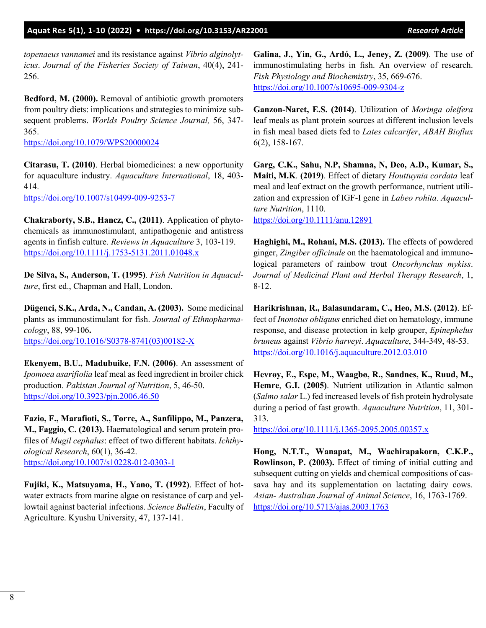*topenaeus vannamei* and its resistance against *Vibrio alginolyticus*. *Journal of the Fisheries Society of Taiwan*, 40(4), 241- 256.

**Bedford, M. (2000).** Removal of antibiotic growth promoters from poultry diets: implications and strategies to minimize subsequent problems. *Worlds Poultry Science Journal,* 56, 347- 365.

<https://doi.org/10.1079/WPS20000024>

**Citarasu, T. (2010)**. Herbal biomedicines: a new opportunity for aquaculture industry. *Aquaculture International*, 18, 403- 414.

<https://doi.org/10.1007/s10499-009-9253-7>

**Chakraborty, S.B., Hancz, C., (2011)**. Application of phytochemicals as immunostimulant, antipathogenic and antistress agents in finfish culture. *Reviews in Aquaculture* 3, 103-119. <https://doi.org/10.1111/j.1753-5131.2011.01048.x>

**De Silva, S., Anderson, T. (1995)**. *Fish Nutrition in Aquaculture*, first ed., Chapman and Hall, London.

**Dügenci, S.K., Arda, N., Candan, A. (2003).** Some medicinal plants as immunostimulant for fish. *Journal of Ethnopharmacology*, 88, 99-106**.**  [https://doi.org/10.1016/S0378-8741\(03\)00182-X](https://doi.org/10.1016/S0378-8741(03)00182-X)

**Ekenyem, B.U., Madubuike, F.N. (2006)**. An assessment of *Ipomoea asarifiolia* leaf meal as feed ingredient in broiler chick production. *Pakistan Journal of Nutrition*, 5, 46-50. <https://doi.org/10.3923/pjn.2006.46.50>

**Fazio, F., Marafioti, S., Torre, A., Sanfilippo, M., Panzera, M., Faggio, C. (2013).** Haematological and serum protein profiles of *Mugil cephalus*: effect of two different habitats. *Ichthyological Research*, 60(1), 36-42. <https://doi.org/10.1007/s10228-012-0303-1>

**Fujiki, K., Matsuyama, H., Yano, T. (1992)**. Effect of hotwater extracts from marine algae on resistance of carp and yellowtail against bacterial infections. *Science Bulletin*, Faculty of Agriculture. Kyushu University, 47, 137-141.

**Galina, J., Yin, G., Ardó, L., Jeney, Z. (2009)**. The use of immunostimulating herbs in fish. An overview of research. *Fish Physiology and Biochemistry*, 35, 669-676. <https://doi.org/10.1007/s10695-009-9304-z>

**Ganzon-Naret, E.S. (2014)**. Utilization of *Moringa oleifera* leaf meals as plant protein sources at different inclusion levels in fish meal based diets fed to *Lates calcarifer*, *ABAH Bioflux* 6(2), 158-167.

**Garg, C.K., Sahu, N.P, Shamna, N, Deo, A.D., Kumar, S., Maiti, M.K**. **(2019)**. Effect of dietary *Houttuynia cordata* leaf meal and leaf extract on the growth performance, nutrient utilization and expression of IGF‐I gene in *Labeo rohita*. *Aquaculture Nutrition*, 1110.

<https://doi.org/10.1111/anu.12891>

**Haghighi, M., Rohani, M.S. (2013).** The effects of powdered ginger, *Zingiber officinale* on the haematological and immunological parameters of rainbow trout *Oncorhynchus mykiss*. *Journal of Medicinal Plant and Herbal Therapy Research*, 1, 8-12.

**Harikrishnan, R., Balasundaram, C., Heo, M.S. (2012)**. Effect of *Inonotus obliquus* enriched diet on hematology, immune response, and disease protection in kelp grouper, *Epinephelus bruneus* against *Vibrio harveyi*. *Aquaculture*, 344-349, 48-53. <https://doi.org/10.1016/j.aquaculture.2012.03.010>

**Hevrøy, E., Espe, M., Waagbø, R., Sandnes, K., Ruud, M., Hemre**, **G.I. (2005)**. Nutrient utilization in Atlantic salmon (*Salmo salar* L.) fed increased levels of fish protein hydrolysate during a period of fast growth. *Aquaculture Nutrition*, 11, 301- 313.

<https://doi.org/10.1111/j.1365-2095.2005.00357.x>

**Hong, N.T.T., Wanapat, M., Wachirapakorn, C.K.P., Rowlinson, P. (2003).** Effect of timing of initial cutting and subsequent cutting on yields and chemical compositions of cassava hay and its supplementation on lactating dairy cows. *Asian- Australian Journal of Animal Science*, 16, 1763-1769. <https://doi.org/10.5713/ajas.2003.1763>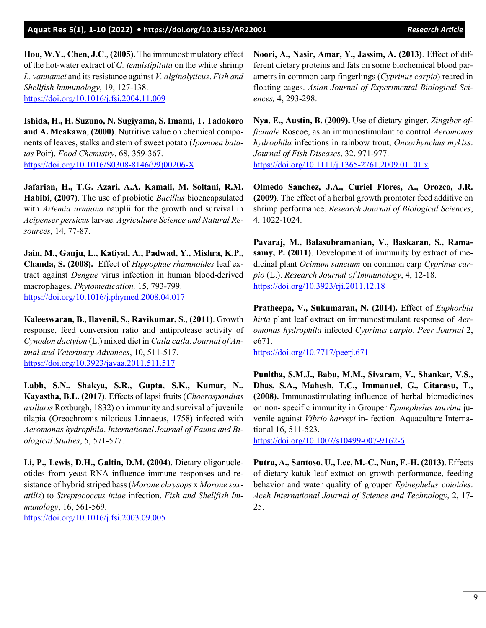**Hou, W.Y., Chen, J.C**., **(2005).** The immunostimulatory effect of the hot-water extract of *G. tenuistipitata* on the white shrimp *L. vannamei* and its resistance against *V. alginolyticus*. *Fish and Shellfish Immunology*, 19, 127-138. <https://doi.org/10.1016/j.fsi.2004.11.009>

**Ishida, H., H. Suzuno, N. Sugiyama, S. Imami, T. Tadokoro and A. Meakawa**, **(2000)**. Nutritive value on chemical components of leaves, stalks and stem of sweet potato (*Ipomoea batatas* Poir). *Food Chemistry*, 68, 359-367. [https://doi.org/10.1016/S0308-8146\(99\)00206-X](https://doi.org/10.1016/S0308-8146(99)00206-X)

**Jafarian, H., T.G. Azari, A.A. Kamali, M. Soltani, R.M. Habibi**, **(2007)**. The use of probiotic *Bacillus* bioencapsulated with *Artemia urmiana* nauplii for the growth and survival in *Acipenser persicus* larvae. *Agriculture Science and Natural Resources*, 14, 77-87.

**Jain, M., Ganju, L., Katiyal, A., Padwad, Y., Mishra, K.P., Chanda, S. (2008).** Effect of *Hippophae rhamnoides* leaf extract against *Dengue* virus infection in human blood-derived macrophages. *Phytomedication,* 15, 793-799. <https://doi.org/10.1016/j.phymed.2008.04.017>

**Kaleeswaran, B., Ilavenil, S., Ravikumar, S**., **(2011)**. Growth response, feed conversion ratio and antiprotease activity of *Cynodon dactylon* (L.) mixed diet in *Catla catla*. *Journal of Animal and Veterinary Advances*, 10, 511-517. <https://doi.org/10.3923/javaa.2011.511.517>

**Labh, S.N., Shakya, S.R., Gupta, S.K., Kumar, N., Kayastha, B.L. (2017)**. Effects of lapsi fruits (*Choerospondias axillaris* Roxburgh, 1832) on immunity and survival of juvenile tilapia (Oreochromis niloticus Linnaeus, 1758) infected with *Aeromonas hydrophila*. *International Journal of Fauna and Biological Studies*, 5, 571-577.

**Li, P., Lewis, D.H., Galtin, D.M. (2004**). Dietary oligonucleotides from yeast RNA influence immune responses and resistance of hybrid striped bass (*Morone chrysops* x *Morone saxatilis*) to *Streptococcus iniae* infection. *Fish and Shellfish Immunology*, 16, 561-569. <https://doi.org/10.1016/j.fsi.2003.09.005>

**Noori, A., Nasir, Amar, Y., Jassim, A. (2013)**. Effect of different dietary proteins and fats on some biochemical blood parametrs in common carp fingerlings (*Cyprinus carpio*) reared in floating cages. *Asian Journal of Experimental Biological Sciences,* 4, 293-298.

**Nya, E., Austin, B. (2009).** Use of dietary ginger, *Zingiber officinale* Roscoe, as an immunostimulant to control *Aeromonas hydrophila* infections in rainbow trout, *Oncorhynchus mykiss*. *Journal of Fish Diseases*, 32, 971-977. <https://doi.org/10.1111/j.1365-2761.2009.01101.x>

**Olmedo Sanchez, J.A., Curiel Flores, A., Orozco, J.R. (2009)**. The effect of a herbal growth promoter feed additive on shrimp performance. *Research Journal of Biological Sciences*, 4, 1022-1024.

**Pavaraj, M., Balasubramanian, V., Baskaran, S., Ramasamy, P. (2011)**. Development of immunity by extract of medicinal plant *Ocimum sanctum* on common carp *Cyprinus carpio* (L.). *Research Journal of Immunology*, 4, 12-18. <https://doi.org/10.3923/rji.2011.12.18>

**Pratheepa, V., Sukumaran, N. (2014).** Effect of *Euphorbia hirta* plant leaf extract on immunostimulant response of *Aeromonas hydrophila* infected *Cyprinus carpio*. *Peer Journal* 2, e671.

<https://doi.org/10.7717/peerj.671>

**Punitha, S.M.J., Babu, M.M., Sivaram, V., Shankar, V.S., Dhas, S.A., Mahesh, T.C., Immanuel, G., Citarasu, T., (2008).** Immunostimulating influence of herbal biomedicines on non- specific immunity in Grouper *Epinephelus tauvina* juvenile against *Vibrio harveyi* in- fection. Aquaculture International 16, 511-523.

<https://doi.org/10.1007/s10499-007-9162-6>

**Putra, A., Santoso, U., Lee, M.-C., Nan, F.-H. (2013)**. Effects of dietary katuk leaf extract on growth performance, feeding behavior and water quality of grouper *Epinephelus coioides*. *Aceh International Journal of Science and Technology*, 2, 17- 25.